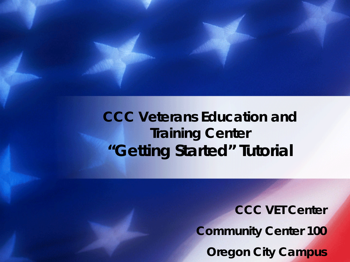#### *CCC Veterans Education and Training Center* **"Getting Started" Tutorial**

*CCC VET Center Community Center 100 Oregon City Campus*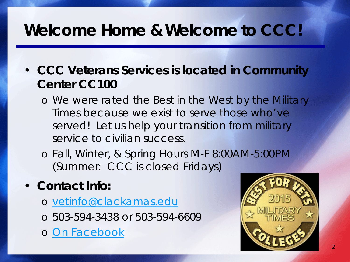### *Welcome Home & Welcome to CCC!*

- **CCC Veterans Services is located in Community Center CC100**
	- o We were rated the Best in the West by the Military Times because we exist to serve those who've served! Let us help your transition from military service to civilian success.
	- o Fall, Winter, & Spring Hours M-F 8:00AM-5:00PM (Summer: CCC is closed Fridays)

#### • **Contact Info:**

- o [vetinfo@clackamas.edu](mailto:vetinfo@clackamas.edu)
- o 503-594-3438 or 503-594-6609
- o [On Facebook](http://www.facebook.com/cccvetcenter)

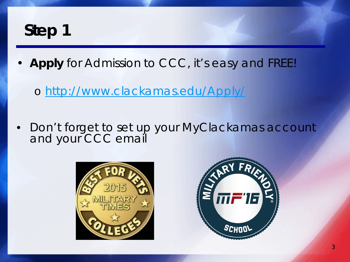• **Apply** for Admission to CCC, it's easy and FREE!

o <http://www.clackamas.edu/Apply/>

• *Don't forget to set up your MyClackamas account and your CCC email*



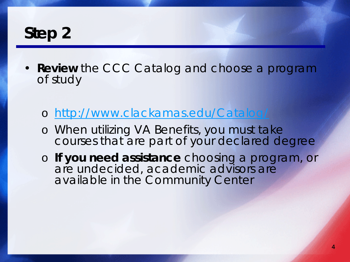- **Review** the CCC Catalog and choose a program of study
	- o <http://www.clackamas.edu/Catalog/>
	- o When utilizing VA Benefits, you must take courses that are part of your declared degree
	- o **If you need assistance** choosing a program, or are undecided, academic advisors are available in the Community Center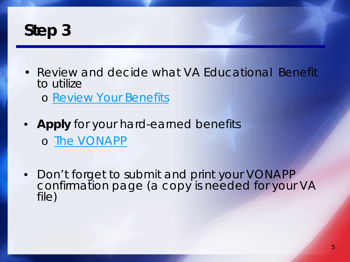- Review and decide what VA Educational Benefit to utilize
	- o [Review Your Benefits](http://www.gibill.va.gov/apply-for-benefits/road-map/1-determine-your-best-benefit.html)
- **Apply** for your hard-earned benefits o [The VONAPP](https://www.ebenefits.va.gov/ebenefits-portal/ebenefits.portal?_nfpb=true&_portlet.async=false&_pageLabel=ebenefits_myeb_vonapp1)
- Don't forget to submit and print your VONAPP<br>confirmation page (a copy is needed for your VA file)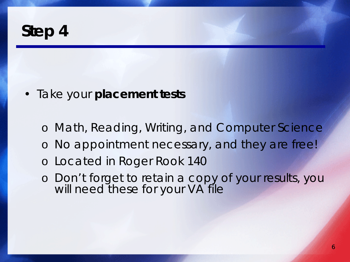- Take your **placement tests**
	- o Math, Reading, Writing, and Computer Science
	- o No appointment necessary, and they are free!
	- o Located in Roger Rook 140
	- o Don't forget to retain a copy of your results, you will need these for your VA file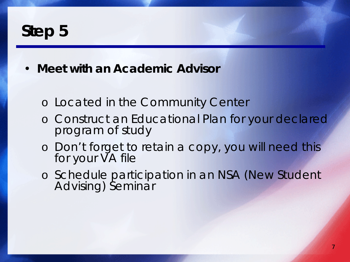- **Meet with an Academic Advisor**
	- o Located in the Community Center
	- o Construct an Educational Plan for your declared program of study
	- o Don't forget to retain a copy, you will need this for your VA file
	- o Schedule participation in an NSA (New Student Advising) Seminar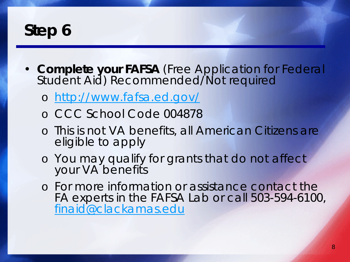- **Complete your FAFSA** (Free Application for Federal Student Aid) Recommended/Not required
	- o <http://www.fafsa.ed.gov/>
	- o CCC School Code 004878
	- o This is not VA benefits, all American Citizens are eligible to apply
	- o You may qualify for grants that do not affect your VA benefits
	- o For more information or assistance contact the FA experts in the FAFSA Lab or call 503-594-6100, [finaid@clackamas.edu](mailto:finaid@clackamas.edu)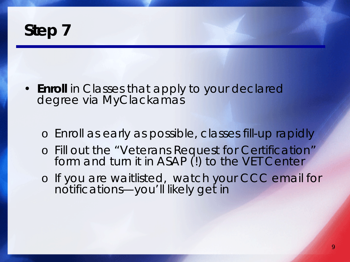

- **Enroll** in Classes that apply to your declared degree via MyClackamas
	- o Enroll as early as possible, classes fill-up rapidly
	- o Fill out the "Veterans Request for Certification" form and turn it in ASAP (!) to the VET Center
	- o If you are waitlisted, watch your CCC email for notifications—you'll likely get in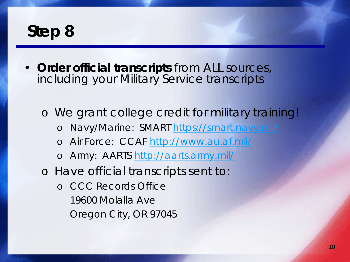• **Order official transcripts** from ALL sources, including your Military Service transcripts

o We grant college credit for military training! o Navy/Marine: SMART <https://smart.navy.mil/> o Air Force: CCAF<http://www.au.af.mil/> o Army: AARTS<http://aarts.army.mil/> o Have official transcripts sent to: o CCC Records Office 19600 Molalla Ave Oregon City, OR 97045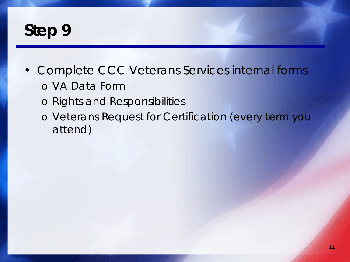- Complete CCC Veterans Services internal forms
	- o VA Data Form
	- o Rights and Responsibilities
	- o Veterans Request for Certification (every term you attend)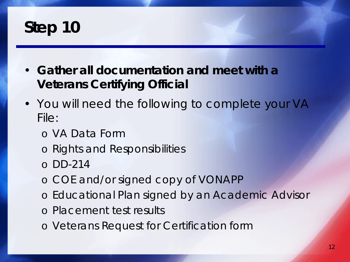- **Gather all documentation and meet with a Veterans Certifying Official**
- You will need the following to complete your VA File:
	- o VA Data Form
	- o Rights and Responsibilities
	- o DD-214
	- o COE and/or signed copy of VONAPP
	- o Educational Plan signed by an Academic Advisor
	- o Placement test results
	- o Veterans Request for Certification form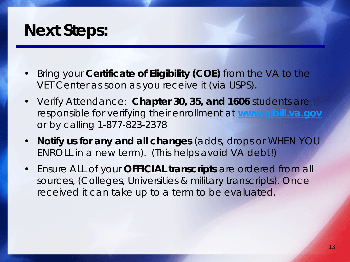#### *Next Steps:*

- Bring your **Certificate of Eligibility (COE)** from the VA to the VET Center as soon as you receive it (via USPS).
- Verify Attendance: **Chapter 30, 35, and 1606** students are responsible for verifying their enrollment at **[www.gibill.va.gov](http://www.gibill.va.gov/)** or by calling 1-877-823-2378
- **Notify us for any and all changes** (adds, drops or WHEN YOU ENROLL in a new term). (This helps avoid VA debt!)
- Ensure ALL of your **OFFICIAL transcripts** are ordered from all sources, (Colleges, Universities & military transcripts). Once received it can take up to a term to be evaluated.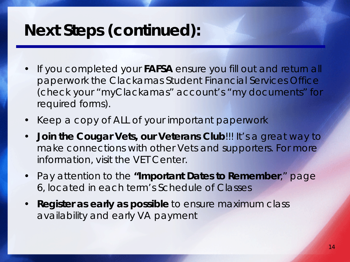### *Next Steps (continued):*

- If you completed your **FAFSA** ensure you fill out and return all paperwork the Clackamas Student Financial Services Office (check your "myClackamas" account's "my documents" for required forms).
- Keep a copy of ALL of your important paperwork
- **Join the Cougar Vets, our Veterans Club**!!! It's a great way to make connections with other Vets and supporters. For more information, visit the VET Center.
- Pay attention to the **"Important Dates to Remember**," page 6, located in each term's Schedule of Classes
- **Register as early as possible** to ensure maximum class availability and early VA payment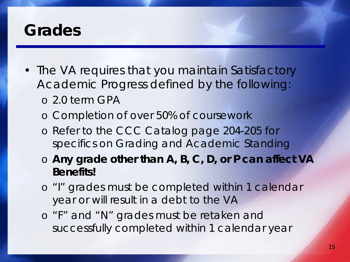#### *Grades*

- The VA requires that you maintain Satisfactory Academic Progress defined by the following: o 2.0 term GPA
	- o Completion of over 50% of coursework
	- o Refer to the CCC Catalog page 204-205 for specifics on Grading and Academic Standing
	- o **Any grade other than A, B, C, D, or P can affect VA Benefits!**
	- o "I" grades must be completed within 1 calendar year or will result in a debt to the VA
	- o "F" and "N" grades must be retaken and successfully completed within 1 calendar year